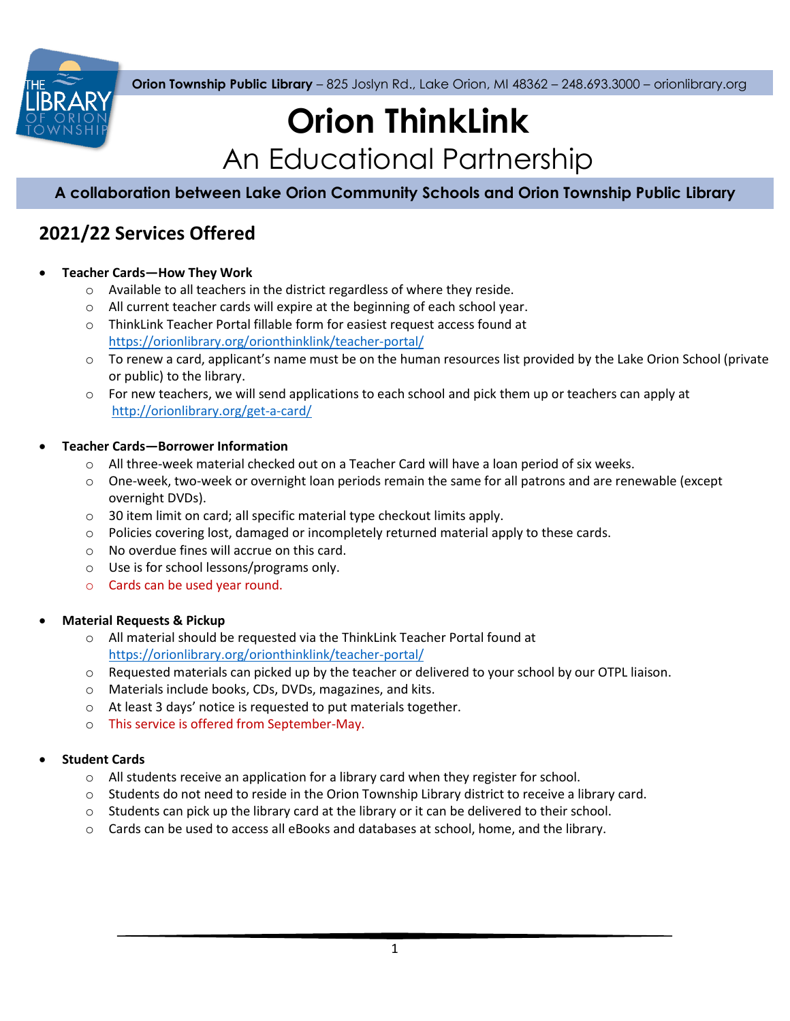

**Orion Township Public Library** – 825 Joslyn Rd., Lake Orion, MI 48362 – 248.693.3000 – orionlibrary.org

# **Orion ThinkLink** An Educational Partnership

**A collaboration between Lake Orion Community Schools and Orion Township Public Library**

# **2021/22 Services Offered**

## **Teacher Cards—How They Work**

- o Available to all teachers in the district regardless of where they reside.
- o All current teacher cards will expire at the beginning of each school year.
- o ThinkLink Teacher Portal fillable form for easiest request access found at <https://orionlibrary.org/orionthinklink/teacher-portal/>
- $\circ$  To renew a card, applicant's name must be on the human resources list provided by the Lake Orion School (private or public) to the library.
- $\circ$  For new teachers, we will send applications to each school and pick them up or teachers can apply at <http://orionlibrary.org/get-a-card/>

#### **Teacher Cards—Borrower Information**

- $\circ$  All three-week material checked out on a Teacher Card will have a loan period of six weeks.
- o One-week, two-week or overnight loan periods remain the same for all patrons and are renewable (except overnight DVDs).
- o 30 item limit on card; all specific material type checkout limits apply.
- $\circ$  Policies covering lost, damaged or incompletely returned material apply to these cards.
- o No overdue fines will accrue on this card.
- o Use is for school lessons/programs only.
- o Cards can be used year round.

#### **Material Requests & Pickup**

- o All material should be requested via the ThinkLink Teacher Portal found at <https://orionlibrary.org/orionthinklink/teacher-portal/>
- o Requested materials can picked up by the teacher or delivered to your school by our OTPL liaison.
- o Materials include books, CDs, DVDs, magazines, and kits.
- o At least 3 days' notice is requested to put materials together.
- o This service is offered from September-May.

#### **Student Cards**

- $\circ$  All students receive an application for a library card when they register for school.
- o Students do not need to reside in the Orion Township Library district to receive a library card.
- $\circ$  Students can pick up the library card at the library or it can be delivered to their school.
- o Cards can be used to access all eBooks and databases at school, home, and the library.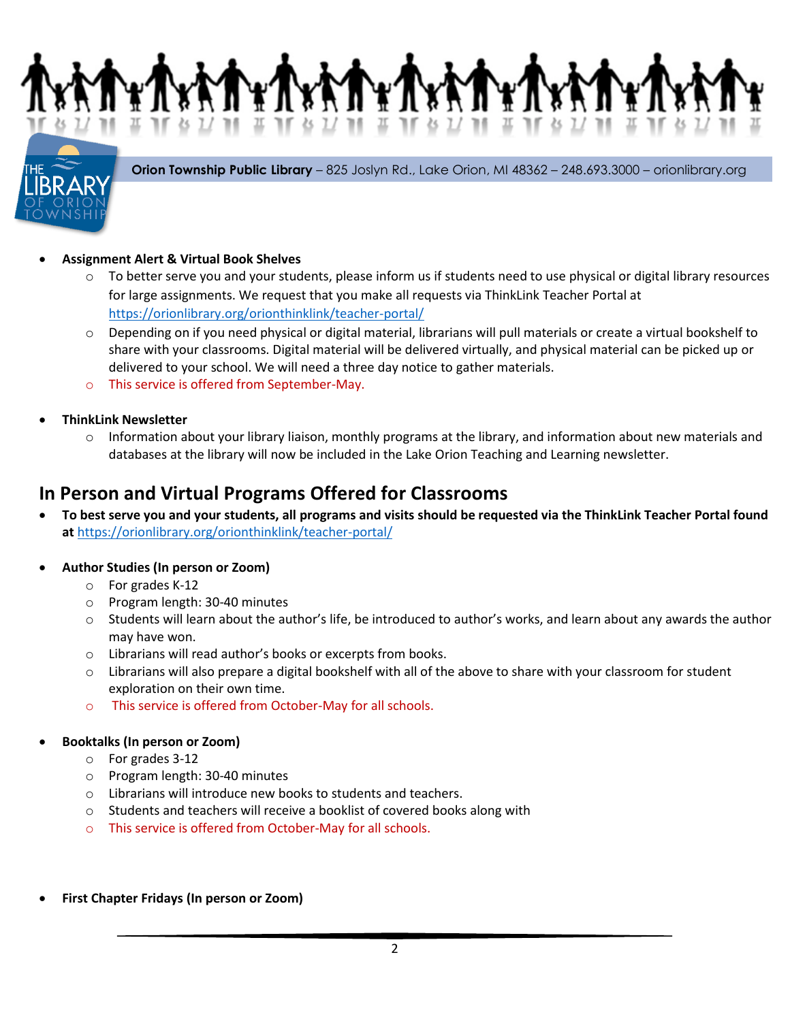**Orion Township Public Library** – 825 Joslyn Rd., Lake Orion, MI 48362 – 248.693.3000 – orionlibrary.org

## **Assignment Alert & Virtual Book Shelves**

- $\circ$  To better serve you and your students, please inform us if students need to use physical or digital library resources for large assignments. We request that you make all requests via ThinkLink Teacher Portal at <https://orionlibrary.org/orionthinklink/teacher-portal/>
- $\circ$  Depending on if you need physical or digital material, librarians will pull materials or create a virtual bookshelf to share with your classrooms. Digital material will be delivered virtually, and physical material can be picked up or delivered to your school. We will need a three day notice to gather materials.
- o This service is offered from September-May.
- **ThinkLink Newsletter**
	- $\circ$  Information about your library liaison, monthly programs at the library, and information about new materials and databases at the library will now be included in the Lake Orion Teaching and Learning newsletter.

## **In Person and Virtual Programs Offered for Classrooms**

 **To best serve you and your students, all programs and visits should be requested via the ThinkLink Teacher Portal found at** <https://orionlibrary.org/orionthinklink/teacher-portal/>

#### **Author Studies (In person or Zoom)**

- o For grades K-12
- o Program length: 30-40 minutes
- $\circ$  Students will learn about the author's life, be introduced to author's works, and learn about any awards the author may have won.
- o Librarians will read author's books or excerpts from books.
- $\circ$  Librarians will also prepare a digital bookshelf with all of the above to share with your classroom for student exploration on their own time.
- o This service is offered from October-May for all schools.

#### **Booktalks (In person or Zoom)**

- o For grades 3-12
- o Program length: 30-40 minutes
- o Librarians will introduce new books to students and teachers.
- o Students and teachers will receive a booklist of covered books along with
- o This service is offered from October-May for all schools.
- **First Chapter Fridays (In person or Zoom)**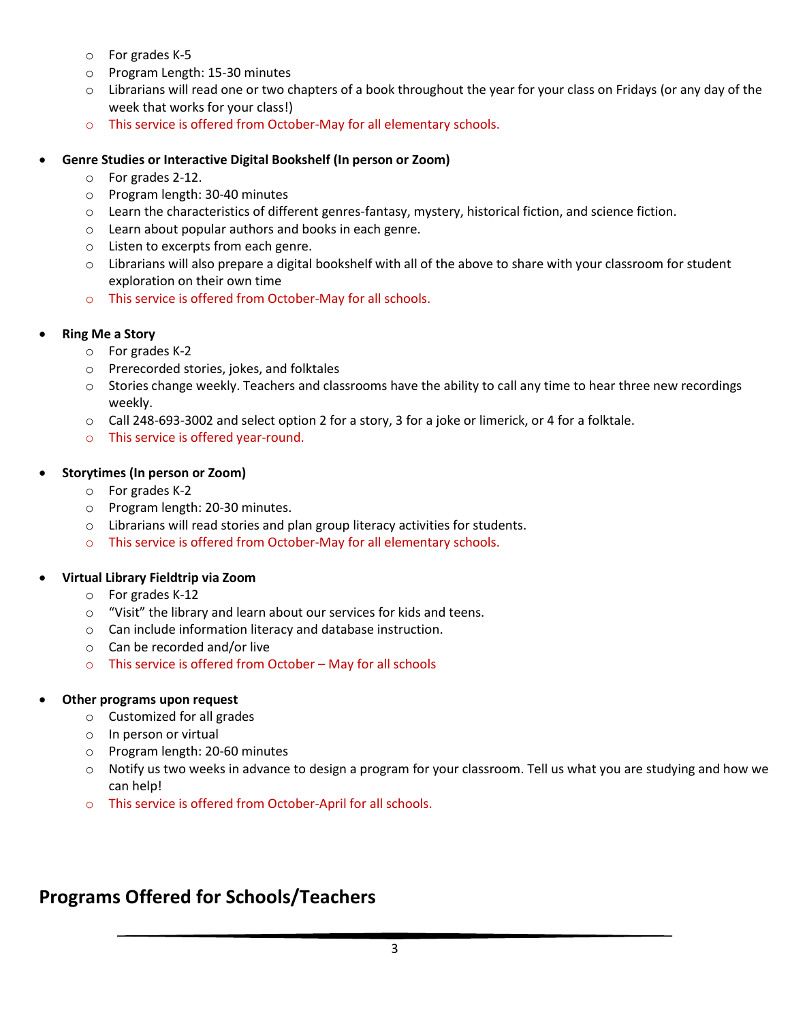- o For grades K-5
- o Program Length: 15-30 minutes
- $\circ$  Librarians will read one or two chapters of a book throughout the year for your class on Fridays (or any day of the week that works for your class!)
- o This service is offered from October-May for all elementary schools.
- **Genre Studies or Interactive Digital Bookshelf (In person or Zoom)**
	- o For grades 2-12.
	- o Program length: 30-40 minutes
	- o Learn the characteristics of different genres-fantasy, mystery, historical fiction, and science fiction.
	- o Learn about popular authors and books in each genre.
	- o Listen to excerpts from each genre.
	- $\circ$  Librarians will also prepare a digital bookshelf with all of the above to share with your classroom for student exploration on their own time
	- o This service is offered from October-May for all schools.

#### **Ring Me a Story**

- o For grades K-2
- o Prerecorded stories, jokes, and folktales
- $\circ$  Stories change weekly. Teachers and classrooms have the ability to call any time to hear three new recordings weekly.
- o Call 248-693-3002 and select option 2 for a story, 3 for a joke or limerick, or 4 for a folktale.
- o This service is offered year-round.

#### **Storytimes (In person or Zoom)**

- o For grades K-2
- o Program length: 20-30 minutes.
- o Librarians will read stories and plan group literacy activities for students.
- o This service is offered from October-May for all elementary schools.

#### **Virtual Library Fieldtrip via Zoom**

- o For grades K-12
- o "Visit" the library and learn about our services for kids and teens.
- o Can include information literacy and database instruction.
- o Can be recorded and/or live
- o This service is offered from October May for all schools

#### **Other programs upon request**

- o Customized for all grades
- o In person or virtual
- o Program length: 20-60 minutes
- $\circ$  Notify us two weeks in advance to design a program for your classroom. Tell us what you are studying and how we can help!
- o This service is offered from October-April for all schools.

## **Programs Offered for Schools/Teachers**